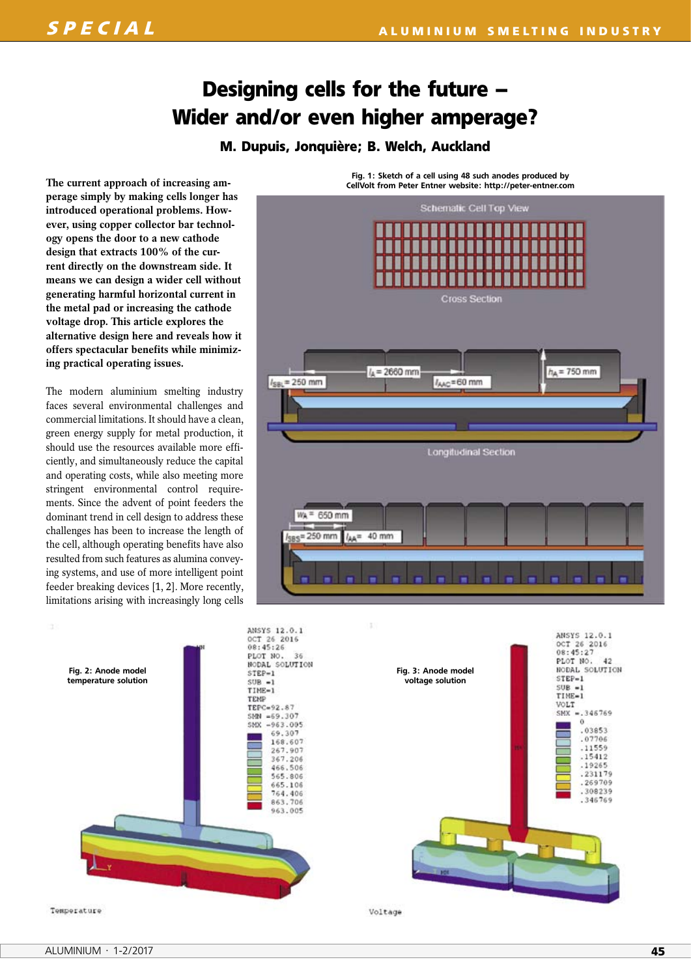# **Designing cells for the future – Wider and/or even higher amperage?**

# **M. Dupuis, Jonquière; B. Welch, Auckland**

**The current approach of increasing amperage simply by making cells longer has introduced operational problems. How ever, using copper collector bar technology opens the door to a new cathode design that extracts 100% of the current directly on the downstream side. It means we can design a wider cell without generating harmful horizontal current in the metal pad or increasing the cathode voltage drop. This article explores the alternative design here and reveals how it offers spectacular benefits while minimizing practical operating issues.**

The modern aluminium smelting industry faces several environmental challenges and commercial limitations. It should have a clean, green energy supply for metal production, it should use the resources available more efficiently, and simultaneously reduce the capital and operating costs, while also meeting more stringent environmental control requirements. Since the advent of point feeders the dominant trend in cell design to address these challenges has been to increase the length of the cell, although operating benefits have also resulted from such features as alumina conveying systems, and use of more intelligent point feeder breaking devices [1, 2]. More recently, limitations arising with increasingly long cells





Fig. 1: Sketch of a cell using 48 such anodes produced by CellVolt from Peter Entner website: http://peter-entner.com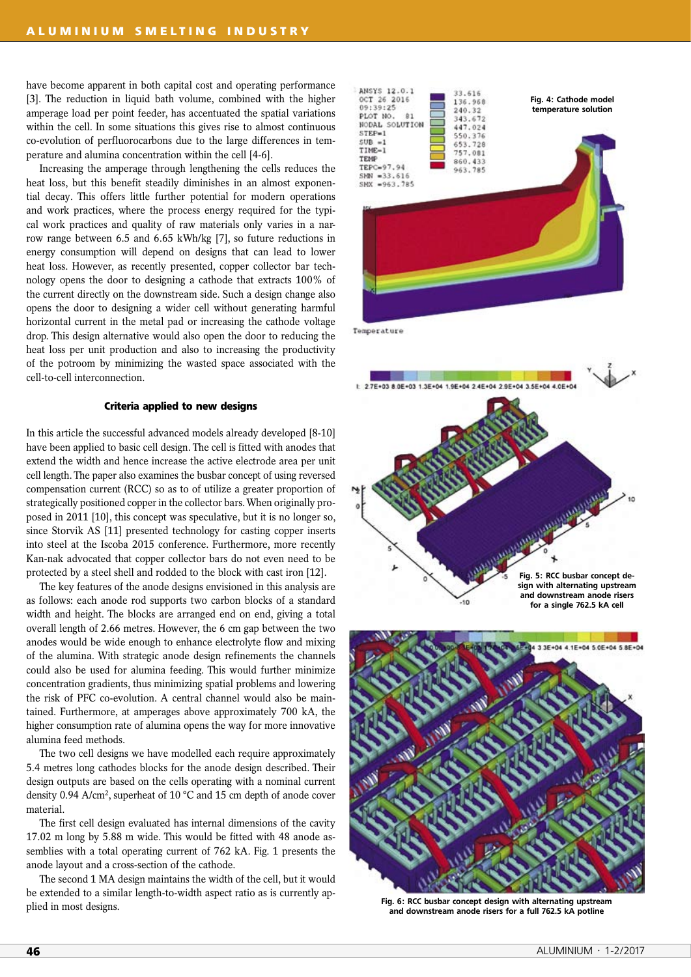have become apparent in both capital cost and operating performance [3]. The reduction in liquid bath volume, combined with the higher amperage load per point feeder, has accentuated the spatial variations within the cell. In some situations this gives rise to almost continuous co-evolution of perfluorocarbons due to the large differences in temperature and alumina concentration within the cell [4-6].

Increasing the amperage through lengthening the cells reduces the heat loss, but this benefit steadily diminishes in an almost exponential decay. This offers little further potential for modern operations and work practices, where the process energy required for the typical work practices and quality of raw materials only varies in a narrow range between 6.5 and 6.65 kWh/kg [7], so future reductions in energy consumption will depend on designs that can lead to lower heat loss. However, as recently presented, copper collector bar technology opens the door to designing a cathode that extracts 100% of the current directly on the downstream side. Such a design change also opens the door to designing a wider cell without generating harmful horizontal current in the metal pad or increasing the cathode voltage drop. This design alternative would also open the door to reducing the heat loss per unit production and also to increasing the productivity of the potroom by minimizing the wasted space associated with the cell-to-cell interconnection.

## **Criteria applied to new designs**

In this article the successful advanced models already developed [8-10] have been applied to basic cell design. The cell is fitted with anodes that extend the width and hence increase the active electrode area per unit cell length. The paper also examines the busbar concept of using reversed compensation current (RCC) so as to of utilize a greater proportion of strategically positioned copper in the collector bars. When originally proposed in 2011 [10], this concept was speculative, but it is no longer so, since Storvik AS [11] presented technology for casting copper inserts into steel at the Iscoba 2015 conference. Furthermore, more recently Kan-nak advocated that copper collector bars do not even need to be protected by a steel shell and rodded to the block with cast iron [12].

The key features of the anode designs envisioned in this analysis are as follows: each anode rod supports two carbon blocks of a standard width and height. The blocks are arranged end on end, giving a total overall length of 2.66 metres. However, the 6 cm gap between the two anodes would be wide enough to enhance electrolyte flow and mixing of the alumina. With strategic anode design refinements the channels could also be used for alumina feeding. This would further minimize concentration gradients, thus minimizing spatial problems and lowering the risk of PFC co-evolution. A central channel would also be maintained. Furthermore, at amperages above approximately 700 kA, the higher consumption rate of alumina opens the way for more innovative alumina feed methods.

The two cell designs we have modelled each require approximately 5.4 metres long cathodes blocks for the anode design described. Their design outputs are based on the cells operating with a nominal current density 0.94 A/cm2, superheat of 10 °C and 15 cm depth of anode cover material.

The first cell design evaluated has internal dimensions of the cavity 17.02 m long by 5.88 m wide. This would be fitted with 48 anode assemblies with a total operating current of 762 kA. Fig. 1 presents the anode layout and a cross-section of the cathode.

The second 1 MA design maintains the width of the cell, but it would be extended to a similar length-to-width aspect ratio as is currently applied in most designs.



Temperature





Fig. 6: RCC busbar concept design with alternating upstream and downstream anode risers for a full 762.5 kA potline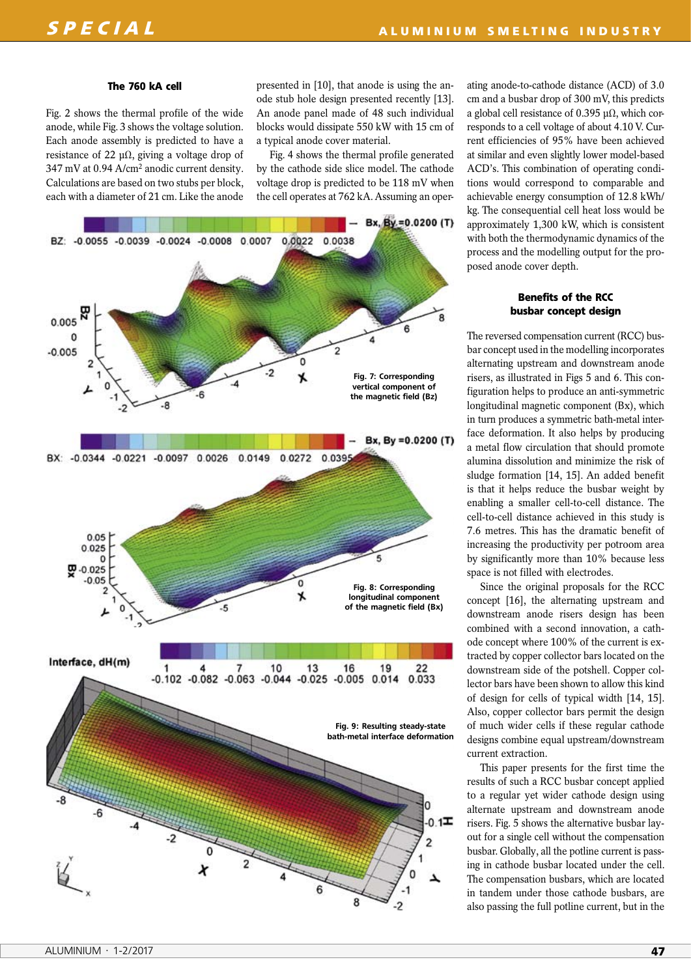#### **The 760 kA cell**

Fig. 2 shows the thermal profile of the wide anode, while Fig. 3 shows the voltage solution. Each anode assembly is predicted to have a resistance of 22 μΩ, giving a voltage drop of 347 mV at 0.94 A/cm2 anodic current density. Calculations are based on two stubs per block, each with a diameter of 21 cm. Like the anode presented in [10], that anode is using the anode stub hole design presented recently [13]. An anode panel made of 48 such individual blocks would dissipate 550 kW with 15 cm of a typical anode cover material.

Fig. 4 shows the thermal profile generated by the cathode side slice model. The cathode voltage drop is predicted to be 118 mV when the cell operates at 762 kA. Assuming an oper-



ating anode-to-cathode distance (ACD) of 3.0 cm and a busbar drop of 300 mV, this predicts a global cell resistance of 0.395 μΩ, which corresponds to a cell voltage of about 4.10 V. Current efficiencies of 95% have been achieved at similar and even slightly lower model-based ACD's. This combination of operating conditions would correspond to comparable and achievable energy consumption of 12.8 kWh/ kg. The consequential cell heat loss would be approximately 1,300 kW, which is consistent with both the thermodynamic dynamics of the process and the modelling output for the proposed anode cover depth.

# **Benefits of the RCC busbar concept design**

The reversed compensation current (RCC) busbar concept used in the modelling incorporates alternating upstream and downstream anode risers, as illustrated in Figs 5 and 6. This configuration helps to produce an anti-symmetric longitudinal magnetic component (Bx), which in turn produces a symmetric bath-metal interface deformation. It also helps by producing a metal flow circulation that should promote alumina dissolution and minimize the risk of sludge formation [14, 15]. An added benefit is that it helps reduce the busbar weight by enabling a smaller cell-to-cell distance. The cell-to-cell distance achieved in this study is 7.6 metres. This has the dramatic benefit of increasing the productivity per potroom area by significantly more than 10% because less space is not filled with electrodes.

Since the original proposals for the RCC concept [16], the alternating upstream and downstream anode risers design has been combined with a second innovation, a cathode concept where 100% of the current is extracted by copper collector bars located on the downstream side of the potshell. Copper collector bars have been shown to allow this kind of design for cells of typical width [14, 15]. Also, copper collector bars permit the design of much wider cells if these regular cathode designs combine equal upstream/downstream current extraction.

This paper presents for the first time the results of such a RCC busbar concept applied to a regular yet wider cathode design using alternate upstream and downstream anode risers. Fig. 5 shows the alternative busbar layout for a single cell without the compensation busbar. Globally, all the potline current is passing in cathode busbar located under the cell. The compensation busbars, which are located in tandem under those cathode busbars, are also passing the full potline current, but in the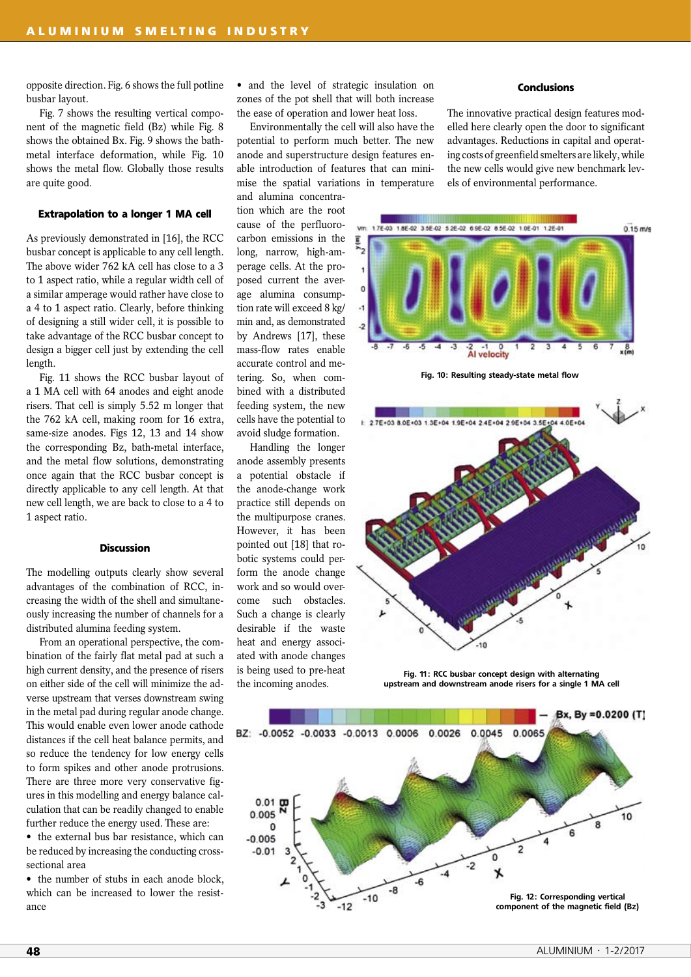opposite direction. Fig. 6 shows the full potline busbar layout.

Fig. 7 shows the resulting vertical component of the magnetic field (Bz) while Fig. 8 shows the obtained Bx. Fig. 9 shows the bathmetal interface deformation, while Fig. 10 shows the metal flow. Globally those results are quite good.

### **Extrapolation to a longer 1 MA cell**

As previously demonstrated in [16], the RCC busbar concept is applicable to any cell length. The above wider 762 kA cell has close to a 3 to 1 aspect ratio, while a regular width cell of a similar amperage would rather have close to a 4 to 1 aspect ratio. Clearly, before thinking of designing a still wider cell, it is possible to take advantage of the RCC busbar concept to design a bigger cell just by extending the cell length.

Fig. 11 shows the RCC busbar layout of a 1 MA cell with 64 anodes and eight anode risers. That cell is simply 5.52 m longer that the 762 kA cell, making room for 16 extra, same-size anodes. Figs 12, 13 and 14 show the corresponding Bz, bath-metal interface, and the metal flow solutions, demonstrating once again that the RCC busbar concept is directly applicable to any cell length. At that new cell length, we are back to close to a 4 to 1 aspect ratio.

### **Discussion**

The modelling outputs clearly show several advantages of the combination of RCC, increasing the width of the shell and simultaneously increasing the number of channels for a distributed alumina feeding system.

From an operational perspective, the combination of the fairly flat metal pad at such a high current density, and the presence of risers on either side of the cell will minimize the adverse upstream that verses downstream swing in the metal pad during regular anode change. This would enable even lower anode cathode distances if the cell heat balance permits, and so reduce the tendency for low energy cells to form spikes and other anode protrusions. There are three more very conservative figures in this modelling and energy balance calculation that can be readily changed to enable further reduce the energy used. These are:

• the external bus bar resistance, which can be reduced by increasing the conducting crosssectional area

• the number of stubs in each anode block, which can be increased to lower the resistance

• and the level of strategic insulation on zones of the pot shell that will both increase the ease of operation and lower heat loss.

Environmentally the cell will also have the potential to perform much better. The new anode and superstructure design features enable introduction of features that can minimise the spatial variations in temperature and alumina concentra-

tion which are the root cause of the perfluorocarbon emissions in the long, narrow, high-amperage cells. At the proposed current the average alumina consumption rate will exceed 8 kg/ min and, as demonstrated by Andrews [17], these mass-flow rates enable accurate control and metering. So, when combined with a distributed feeding system, the new cells have the potential to avoid sludge formation.

Handling the longer anode assembly presents a potential obstacle if the anode-change work practice still depends on the multipurpose cranes. However, it has been pointed out [18] that robotic systems could perform the anode change work and so would overcome such obstacles. Such a change is clearly desirable if the waste heat and energy associated with anode changes is being used to pre-heat the incoming anodes.

#### **Conclusions**

The innovative practical design features modelled here clearly open the door to significant advantages. Reductions in capital and operating costs of greenfield smelters are likely, while the new cells would give new benchmark levels of environmental performance.



Fig. 10: Resulting steady-state metal flow



Fig. 11: RCC busbar concept design with alternating upstream and downstream anode risers for a single 1 MA cell